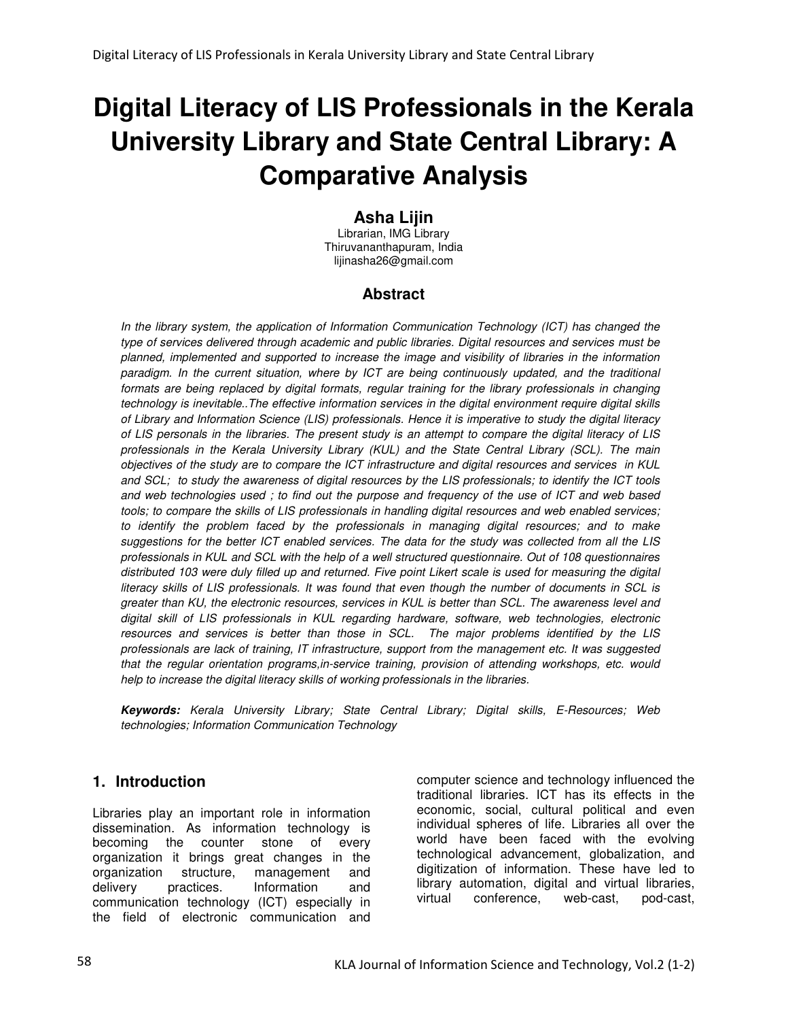# **Digital Literacy of LIS Professionals in the Kerala University Library and State Central Library: A Comparative Analysis**

# **Asha Lijin**

Librarian, IMG Library Thiruvananthapuram, India lijinasha26@gmail.com

# **Abstract**

In the library system, the application of Information Communication Technology (ICT) has changed the type of services delivered through academic and public libraries. Digital resources and services must be planned, implemented and supported to increase the image and visibility of libraries in the information paradigm. In the current situation, where by ICT are being continuously updated, and the traditional formats are being replaced by digital formats, regular training for the library professionals in changing technology is inevitable..The effective information services in the digital environment require digital skills of Library and Information Science (LIS) professionals. Hence it is imperative to study the digital literacy of LIS personals in the libraries. The present study is an attempt to compare the digital literacy of LIS professionals in the Kerala University Library (KUL) and the State Central Library (SCL). The main objectives of the study are to compare the ICT infrastructure and digital resources and services in KUL and SCL; to study the awareness of digital resources by the LIS professionals; to identify the ICT tools and web technologies used ; to find out the purpose and frequency of the use of ICT and web based tools; to compare the skills of LIS professionals in handling digital resources and web enabled services; to identify the problem faced by the professionals in managing digital resources; and to make suggestions for the better ICT enabled services. The data for the study was collected from all the LIS professionals in KUL and SCL with the help of a well structured questionnaire. Out of 108 questionnaires distributed 103 were duly filled up and returned. Five point Likert scale is used for measuring the digital literacy skills of LIS professionals. It was found that even though the number of documents in SCL is greater than KU, the electronic resources, services in KUL is better than SCL. The awareness level and digital skill of LIS professionals in KUL regarding hardware, software, web technologies, electronic resources and services is better than those in SCL. The major problems identified by the LIS professionals are lack of training, IT infrastructure, support from the management etc. It was suggested that the regular orientation programs,in-service training, provision of attending workshops, etc. would help to increase the digital literacy skills of working professionals in the libraries.

**Keywords:** Kerala University Library; State Central Library; Digital skills, E-Resources; Web technologies; Information Communication Technology

## **1. Introduction**

Libraries play an important role in information dissemination. As information technology is becoming the counter stone of every organization it brings great changes in the organization structure, management and delivery practices. Information and communication technology (ICT) especially in the field of electronic communication and

computer science and technology influenced the traditional libraries. ICT has its effects in the economic, social, cultural political and even individual spheres of life. Libraries all over the world have been faced with the evolving technological advancement, globalization, and digitization of information. These have led to library automation, digital and virtual libraries, virtual conference, web-cast,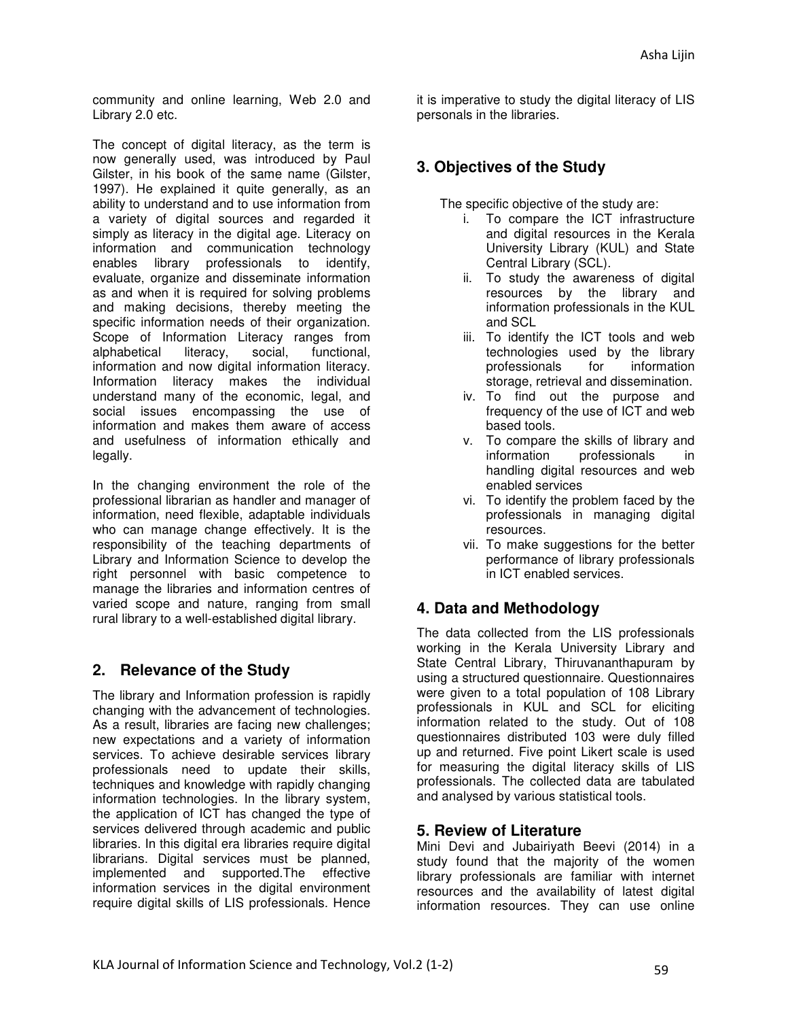community and online learning, Web 2.0 and Library 2.0 etc.

The concept of digital literacy, as the term is now generally used, was introduced by Paul Gilster, in his book of the same name (Gilster, 1997). He explained it quite generally, as an ability to understand and to use information from a variety of digital sources and regarded it simply as literacy in the digital age. Literacy on information and communication technology enables library professionals to identify, evaluate, organize and disseminate information as and when it is required for solving problems and making decisions, thereby meeting the specific information needs of their organization. Scope of Information Literacy ranges from alphabetical literacy, social, functional, information and now digital information literacy. Information literacy makes the individual understand many of the economic, legal, and social issues encompassing the use of information and makes them aware of access and usefulness of information ethically and legally.

In the changing environment the role of the professional librarian as handler and manager of information, need flexible, adaptable individuals who can manage change effectively. It is the responsibility of the teaching departments of Library and Information Science to develop the right personnel with basic competence to manage the libraries and information centres of varied scope and nature, ranging from small rural library to a well-established digital library.

## **2. Relevance of the Study**

The library and Information profession is rapidly changing with the advancement of technologies. As a result, libraries are facing new challenges; new expectations and a variety of information services. To achieve desirable services library professionals need to update their skills, techniques and knowledge with rapidly changing information technologies. In the library system, the application of ICT has changed the type of services delivered through academic and public libraries. In this digital era libraries require digital librarians. Digital services must be planned, implemented and supported.The effective information services in the digital environment require digital skills of LIS professionals. Hence

it is imperative to study the digital literacy of LIS personals in the libraries.

# **3. Objectives of the Study**

The specific objective of the study are:

- i. To compare the ICT infrastructure and digital resources in the Kerala University Library (KUL) and State Central Library (SCL).
- ii. To study the awareness of digital resources by the library and information professionals in the KUL and SCL
- iii. To identify the ICT tools and web technologies used by the library professionals for information storage, retrieval and dissemination.
- iv. To find out the purpose and frequency of the use of ICT and web based tools.
- v. To compare the skills of library and information professionals in handling digital resources and web enabled services
- vi. To identify the problem faced by the professionals in managing digital resources.
- vii. To make suggestions for the better performance of library professionals in ICT enabled services.

# **4. Data and Methodology**

The data collected from the LIS professionals working in the Kerala University Library and State Central Library, Thiruvananthapuram by using a structured questionnaire. Questionnaires were given to a total population of 108 Library professionals in KUL and SCL for eliciting information related to the study. Out of 108 questionnaires distributed 103 were duly filled up and returned. Five point Likert scale is used for measuring the digital literacy skills of LIS professionals. The collected data are tabulated and analysed by various statistical tools.

## **5. Review of Literature**

Mini Devi and Jubairiyath Beevi (2014) in a study found that the majority of the women library professionals are familiar with internet resources and the availability of latest digital information resources. They can use online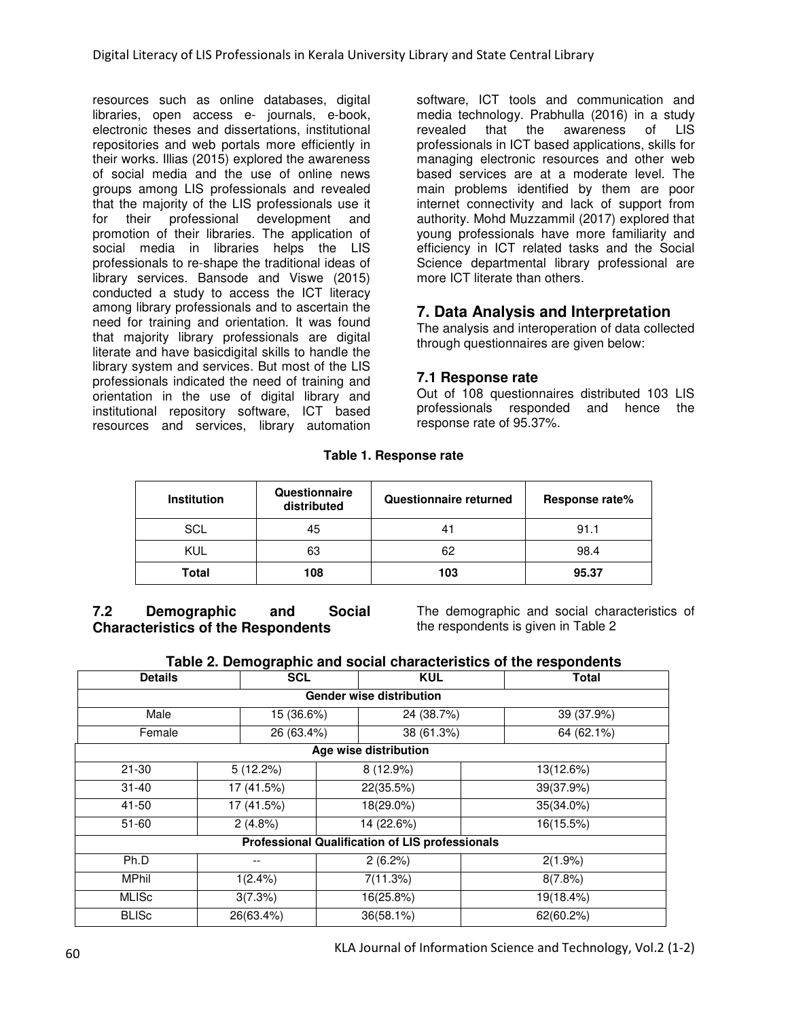resources such as online databases, digital libraries, open access e- journals, e-book, electronic theses and dissertations, institutional repositories and web portals more efficiently in their works. Illias (2015) explored the awareness of social media and the use of online news groups among LIS professionals and revealed that the majority of the LIS professionals use it for their professional development and promotion of their libraries. The application of social media in libraries helps the LIS professionals to re-shape the traditional ideas of library services. Bansode and Viswe (2015) conducted a study to access the ICT literacy among library professionals and to ascertain the need for training and orientation. It was found that majority library professionals are digital literate and have basicdigital skills to handle the library system and services. But most of the LIS professionals indicated the need of training and orientation in the use of digital library and institutional repository software, ICT based resources and services, library automation

software, ICT tools and communication and media technology. Prabhulla (2016) in a study revealed that the awareness of LIS professionals in ICT based applications, skills for managing electronic resources and other web based services are at a moderate level. The main problems identified by them are poor internet connectivity and lack of support from authority. Mohd Muzzammil (2017) explored that young professionals have more familiarity and efficiency in ICT related tasks and the Social Science departmental library professional are more ICT literate than others.

# **7. Data Analysis and Interpretation**

The analysis and interoperation of data collected through questionnaires are given below:

## **7.1 Response rate**

Out of 108 questionnaires distributed 103 LIS professionals responded and hence the response rate of 95.37%.

| <b>Institution</b> | Questionnaire<br>distributed | Questionnaire returned | Response rate% |
|--------------------|------------------------------|------------------------|----------------|
| SCL                | 45                           |                        | 91.1           |
| KUL                | 63                           | 62                     | 98.4           |
| Total              | 108                          | 103                    | 95.37          |

**7.2 Demographic and Social Characteristics of the Respondents** 

The demographic and social characteristics of the respondents is given in Table 2

| <b>Details</b>                  | <b>SCL</b> | <b>KUL</b>                                             | <b>Total</b> |  |  |  |  |  |  |
|---------------------------------|------------|--------------------------------------------------------|--------------|--|--|--|--|--|--|
| <b>Gender wise distribution</b> |            |                                                        |              |  |  |  |  |  |  |
| Male                            | 15 (36.6%) | 24 (38.7%)                                             | 39 (37.9%)   |  |  |  |  |  |  |
| Female                          | 26 (63.4%) | 38 (61.3%)                                             | 64 (62.1%)   |  |  |  |  |  |  |
|                                 |            | Age wise distribution                                  |              |  |  |  |  |  |  |
| $21 - 30$                       | 5(12.2%)   | 8(12.9%)                                               | 13(12.6%)    |  |  |  |  |  |  |
| $31 - 40$                       | 17 (41.5%) | 22(35.5%)                                              | 39(37.9%)    |  |  |  |  |  |  |
| 41-50                           | 17 (41.5%) | 18(29.0%)                                              | 35(34.0%)    |  |  |  |  |  |  |
| $51 - 60$                       | 2(4.8%)    | 14 (22.6%)                                             | 16(15.5%)    |  |  |  |  |  |  |
|                                 |            | <b>Professional Qualification of LIS professionals</b> |              |  |  |  |  |  |  |
| Ph.D                            |            | 2(6.2%)                                                | $2(1.9\%)$   |  |  |  |  |  |  |
| <b>MPhil</b>                    | $1(2.4\%)$ | 7(11.3%)                                               | 8(7.8%)      |  |  |  |  |  |  |
| <b>MLISc</b>                    | 3(7.3%)    | 16(25.8%)                                              | 19(18.4%)    |  |  |  |  |  |  |
| <b>BLISC</b>                    | 26(63.4%)  | 36(58.1%)                                              | 62(60.2%)    |  |  |  |  |  |  |

KLA Journal of Information Science and Technology, Vol.2 (1-2) 60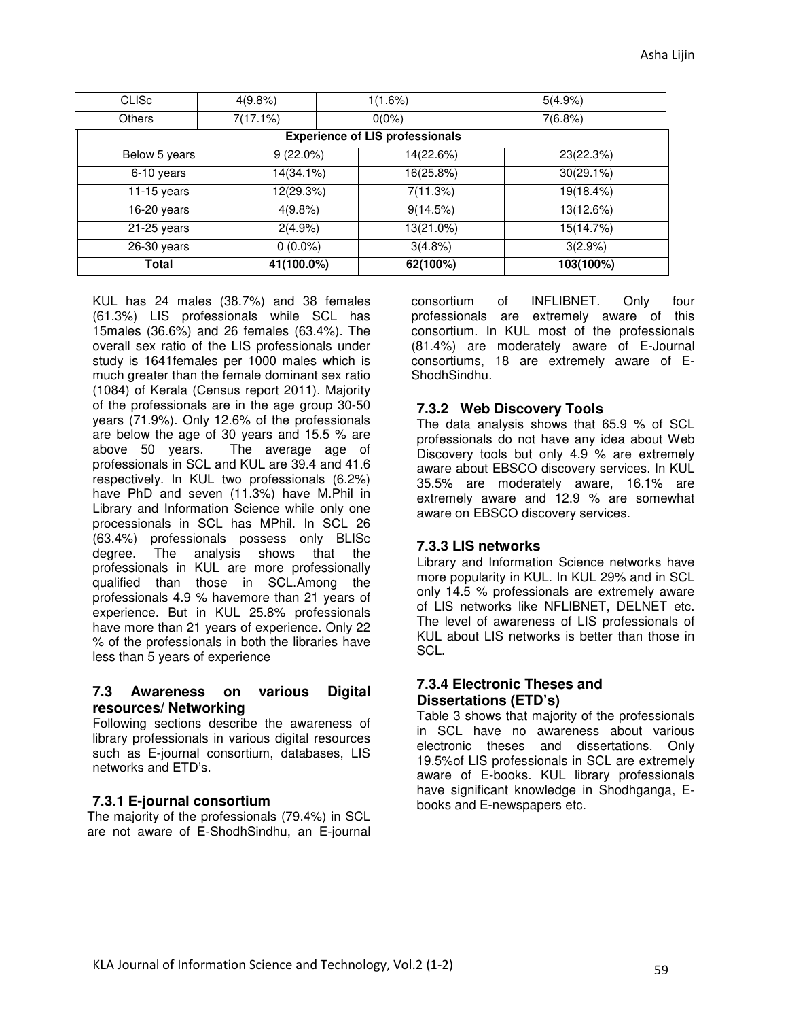| <b>CLISC</b>  | 4(9.8%)                                | 1(1.6%)   | 5(4.9%)      |  |  |  |  |  |  |
|---------------|----------------------------------------|-----------|--------------|--|--|--|--|--|--|
| Others        | 7(17.1%)                               | $0(0\%)$  | 7(6.8%)      |  |  |  |  |  |  |
|               | <b>Experience of LIS professionals</b> |           |              |  |  |  |  |  |  |
| Below 5 years | $9(22.0\%)$                            | 14(22.6%) | 23(22.3%)    |  |  |  |  |  |  |
| 6-10 years    | 14(34.1%)                              | 16(25.8%) | $30(29.1\%)$ |  |  |  |  |  |  |
| 11-15 years   | 12(29.3%)                              | 7(11.3%)  | 19(18.4%)    |  |  |  |  |  |  |
| 16-20 years   | 4(9.8%)                                | 9(14.5%)  | 13(12.6%)    |  |  |  |  |  |  |
| $21-25$ years | 2(4.9%)                                | 13(21.0%) | 15(14.7%)    |  |  |  |  |  |  |
| $26-30$ years | $0(0.0\%)$                             | 3(4.8%)   | 3(2.9%)      |  |  |  |  |  |  |
| Total         | 41(100.0%)                             | 62(100%)  | 103(100%)    |  |  |  |  |  |  |

KUL has 24 males (38.7%) and 38 females (61.3%) LIS professionals while SCL has 15males (36.6%) and 26 females (63.4%). The overall sex ratio of the LIS professionals under study is 1641females per 1000 males which is much greater than the female dominant sex ratio (1084) of Kerala (Census report 2011). Majority of the professionals are in the age group 30-50 years (71.9%). Only 12.6% of the professionals are below the age of 30 years and 15.5 % are above 50 years. The average age of professionals in SCL and KUL are 39.4 and 41.6 respectively. In KUL two professionals (6.2%) have PhD and seven (11.3%) have M.Phil in Library and Information Science while only one processionals in SCL has MPhil. In SCL 26 (63.4%) professionals possess only BLISc degree. The analysis shows that the professionals in KUL are more professionally qualified than those in SCL.Among the professionals 4.9 % havemore than 21 years of experience. But in KUL 25.8% professionals have more than 21 years of experience. Only 22 % of the professionals in both the libraries have less than 5 years of experience

#### **7.3 Awareness on various Digital resources/ Networking**

Following sections describe the awareness of library professionals in various digital resources such as E-journal consortium, databases, LIS networks and ETD's.

#### **7.3.1 E-journal consortium**

The majority of the professionals (79.4%) in SCL are not aware of E-ShodhSindhu, an E-journal

consortium of INFLIBNET. Only four professionals are extremely aware of this consortium. In KUL most of the professionals (81.4%) are moderately aware of E-Journal consortiums, 18 are extremely aware of E-ShodhSindhu.

#### **7.3.2 Web Discovery Tools**

The data analysis shows that 65.9 % of SCL professionals do not have any idea about Web Discovery tools but only 4.9 % are extremely aware about EBSCO discovery services. In KUL 35.5% are moderately aware, 16.1% are extremely aware and 12.9 % are somewhat aware on EBSCO discovery services.

#### **7.3.3 LIS networks**

Library and Information Science networks have more popularity in KUL. In KUL 29% and in SCL only 14.5 % professionals are extremely aware of LIS networks like NFLIBNET, DELNET etc. The level of awareness of LIS professionals of KUL about LIS networks is better than those in SCL.

#### **7.3.4 Electronic Theses and Dissertations (ETD's)**

Table 3 shows that majority of the professionals in SCL have no awareness about various electronic theses and dissertations. Only 19.5%of LIS professionals in SCL are extremely aware of E-books. KUL library professionals have significant knowledge in Shodhganga, Ebooks and E-newspapers etc.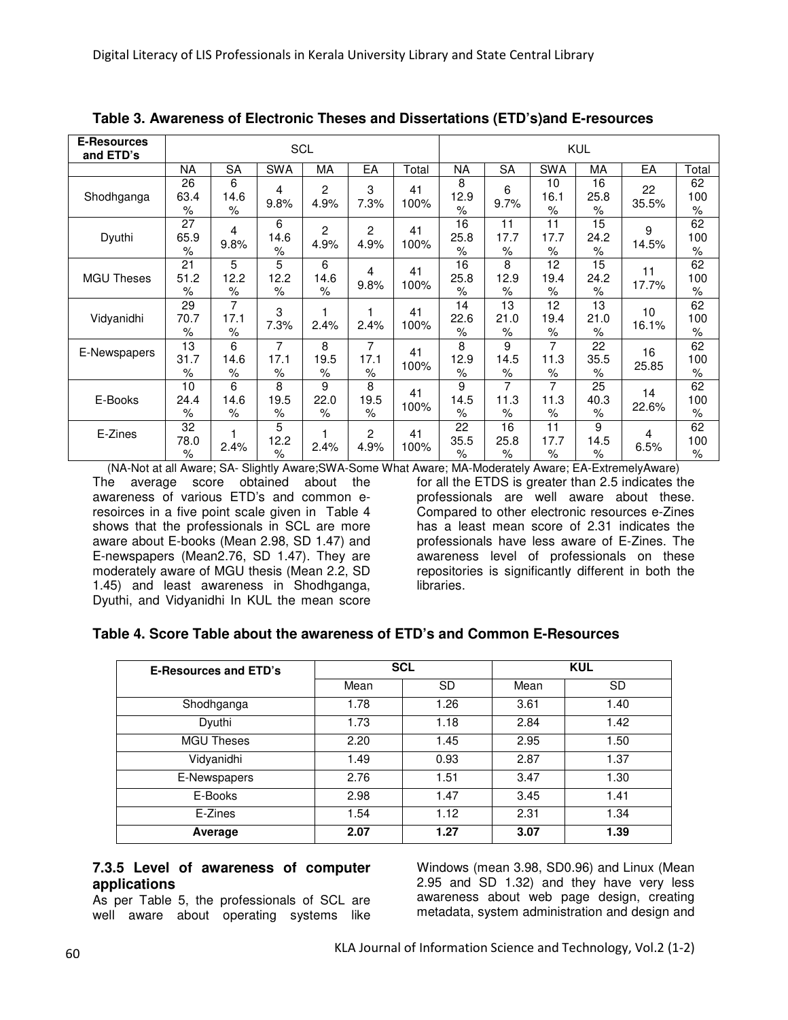| <b>E-Resources</b><br>and ETD's | SCL                |                                 |                   |                   |                        | <b>KUL</b> |                                  |                    |                    |                    |             |                   |
|---------------------------------|--------------------|---------------------------------|-------------------|-------------------|------------------------|------------|----------------------------------|--------------------|--------------------|--------------------|-------------|-------------------|
|                                 | <b>NA</b>          | <b>SA</b>                       | <b>SWA</b>        | MA                | EA                     | Total      | <b>NA</b>                        | <b>SA</b>          | <b>SWA</b>         | MA                 | EA          | Total             |
| Shodhganga                      | 26<br>63.4<br>$\%$ | 6<br>14.6<br>%                  | 4<br>9.8%         | 2<br>4.9%         | 3<br>7.3%              | 41<br>100% | 8<br>12.9<br>$\%$                | 6<br>9.7%          | 10<br>16.1<br>$\%$ | 16<br>25.8<br>%    | 22<br>35.5% | 62<br>100<br>$\%$ |
| Dyuthi                          | 27<br>65.9<br>$\%$ | 4<br>9.8%                       | 6<br>14.6<br>$\%$ | 2<br>4.9%         | $\overline{c}$<br>4.9% | 41<br>100% | 16<br>25.8<br>$\frac{1}{\alpha}$ | 11<br>17.7<br>$\%$ | 11<br>17.7<br>$\%$ | 15<br>24.2<br>$\%$ | 9<br>14.5%  | 62<br>100<br>$\%$ |
| <b>MGU Theses</b>               | 21<br>51.2<br>$\%$ | 5<br>12.2<br>$\%$               | 5<br>12.2<br>$\%$ | 6<br>14.6<br>$\%$ | 4<br>9.8%              | 41<br>100% | 16<br>25.8<br>$\%$               | 8<br>12.9<br>$\%$  | 12<br>19.4<br>$\%$ | 15<br>24.2<br>$\%$ | 11<br>17.7% | 62<br>100<br>$\%$ |
| Vidyanidhi                      | 29<br>70.7<br>$\%$ | 7<br>17.1<br>$\%$               | 3<br>7.3%         | 1<br>2.4%         | 2.4%                   | 41<br>100% | 14<br>22.6<br>$\%$               | 13<br>21.0<br>$\%$ | 12<br>19.4<br>$\%$ | 13<br>21.0<br>$\%$ | 10<br>16.1% | 62<br>100<br>$\%$ |
| E-Newspapers                    | 13<br>31.7<br>$\%$ | 6<br>14.6<br>$\frac{1}{\alpha}$ | 7<br>17.1<br>$\%$ | 8<br>19.5<br>$\%$ | 7<br>17.1<br>$\%$      | 41<br>100% | 8<br>12.9<br>$\%$                | 9<br>14.5<br>$\%$  | 7<br>11.3<br>$\%$  | 22<br>35.5<br>$\%$ | 16<br>25.85 | 62<br>100<br>$\%$ |
| E-Books                         | 10<br>24.4<br>$\%$ | 6<br>14.6<br>$\%$               | 8<br>19.5<br>$\%$ | 9<br>22.0<br>$\%$ | 8<br>19.5<br>$\%$      | 41<br>100% | 9<br>14.5<br>$\frac{1}{\alpha}$  | 7<br>11.3<br>$\%$  | 7<br>11.3<br>$\%$  | 25<br>40.3<br>$\%$ | 14<br>22.6% | 62<br>100<br>$\%$ |
| E-Zines                         | 32<br>78.0<br>$\%$ | 2.4%                            | 5<br>12.2<br>$\%$ | 2.4%              | $\overline{2}$<br>4.9% | 41<br>100% | 22<br>35.5<br>$\%$               | 16<br>25.8<br>$\%$ | 11<br>17.7<br>$\%$ | 9<br>14.5<br>$\%$  | 4<br>6.5%   | 62<br>100<br>$\%$ |

**Table 3. Awareness of Electronic Theses and Dissertations (ETD's)and E-resources** 

(NA-Not at all Aware; SA- Slightly Aware;SWA-Some What Aware; MA-Moderately Aware; EA-ExtremelyAware) The average score obtained about the awareness of various ETD's and common eresoirces in a five point scale given in Table 4 shows that the professionals in SCL are more aware about E-books (Mean 2.98, SD 1.47) and E-newspapers (Mean2.76, SD 1.47). They are moderately aware of MGU thesis (Mean 2.2, SD 1.45) and least awareness in Shodhganga, Dyuthi, and Vidyanidhi In KUL the mean score

for all the ETDS is greater than 2.5 indicates the professionals are well aware about these. Compared to other electronic resources e-Zines has a least mean score of 2.31 indicates the professionals have less aware of E-Zines. The awareness level of professionals on these repositories is significantly different in both the libraries.

#### **Table 4. Score Table about the awareness of ETD's and Common E-Resources**

| <b>E-Resources and ETD's</b> | <b>SCL</b> |           |      | <b>KUL</b> |
|------------------------------|------------|-----------|------|------------|
|                              | Mean       | <b>SD</b> | Mean | <b>SD</b>  |
| Shodhganga                   | 1.78       | 1.26      | 3.61 | 1.40       |
| Dyuthi                       | 1.73       | 1.18      | 2.84 | 1.42       |
| <b>MGU Theses</b>            | 2.20       | 1.45      | 2.95 | 1.50       |
| Vidyanidhi                   | 1.49       | 0.93      | 2.87 | 1.37       |
| E-Newspapers                 | 2.76       | 1.51      | 3.47 | 1.30       |
| E-Books                      | 2.98       | 1.47      | 3.45 | 1.41       |
| E-Zines                      | 1.54       | 1.12      | 2.31 | 1.34       |
| Average                      | 2.07       | 1.27      | 3.07 | 1.39       |

#### **7.3.5 Level of awareness of computer applications**

As per Table 5, the professionals of SCL are well aware about operating systems like

Windows (mean 3.98, SD0.96) and Linux (Mean 2.95 and SD 1.32) and they have very less awareness about web page design, creating metadata, system administration and design and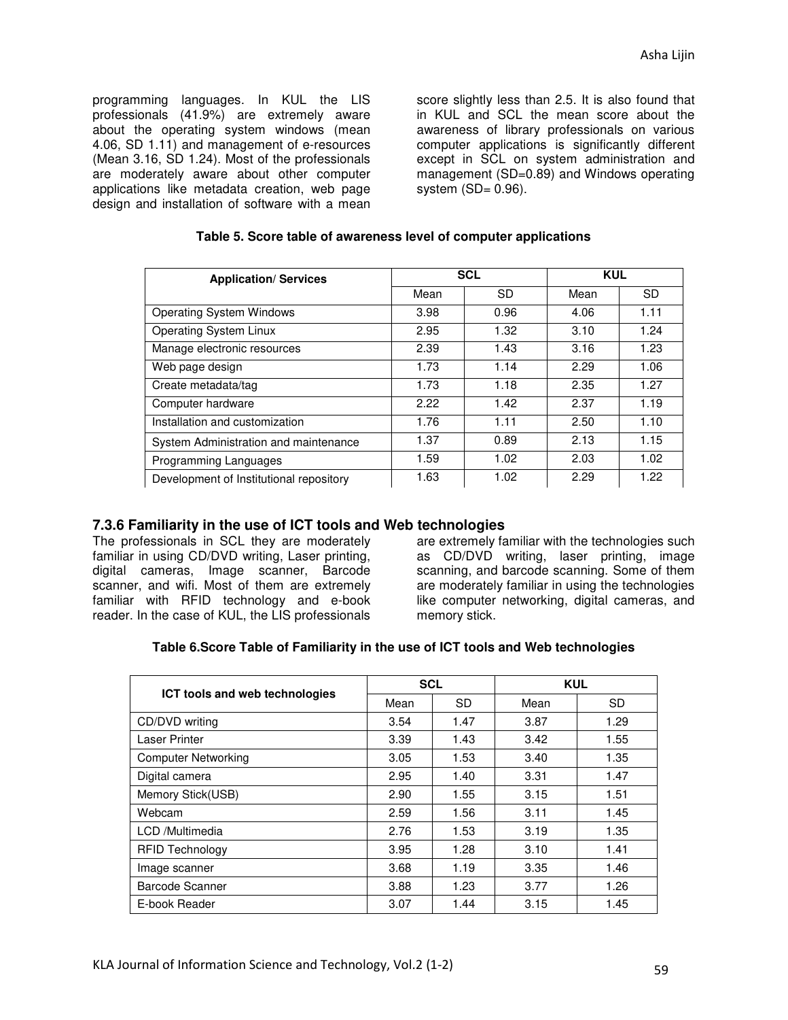programming languages. In KUL the LIS professionals (41.9%) are extremely aware about the operating system windows (mean 4.06, SD 1.11) and management of e-resources (Mean 3.16, SD 1.24). Most of the professionals are moderately aware about other computer applications like metadata creation, web page design and installation of software with a mean

score slightly less than 2.5. It is also found that in KUL and SCL the mean score about the awareness of library professionals on various computer applications is significantly different except in SCL on system administration and management (SD=0.89) and Windows operating system  $(SD = 0.96)$ .

| <b>Application/ Services</b>            |      | <b>SCL</b> | <b>KUL</b> |           |
|-----------------------------------------|------|------------|------------|-----------|
|                                         | Mean | SD.        | Mean       | <b>SD</b> |
| <b>Operating System Windows</b>         | 3.98 | 0.96       | 4.06       | 1.11      |
| <b>Operating System Linux</b>           | 2.95 | 1.32       | 3.10       | 1.24      |
| Manage electronic resources             | 2.39 | 1.43       | 3.16       | 1.23      |
| Web page design                         | 1.73 | 1.14       | 2.29       | 1.06      |
| Create metadata/tag                     | 1.73 | 1.18       | 2.35       | 1.27      |
| Computer hardware                       | 2.22 | 1.42       | 2.37       | 1.19      |
| Installation and customization          | 1.76 | 1.11       | 2.50       | 1.10      |
| System Administration and maintenance   | 1.37 | 0.89       | 2.13       | 1.15      |
| Programming Languages                   | 1.59 | 1.02       | 2.03       | 1.02      |
| Development of Institutional repository | 1.63 | 1.02       | 2.29       | 1.22      |

#### **Table 5. Score table of awareness level of computer applications**

#### **7.3.6 Familiarity in the use of ICT tools and Web technologies**

The professionals in SCL they are moderately familiar in using CD/DVD writing, Laser printing, digital cameras, Image scanner, Barcode scanner, and wifi. Most of them are extremely familiar with RFID technology and e-book reader. In the case of KUL, the LIS professionals

are extremely familiar with the technologies such as CD/DVD writing, laser printing, image scanning, and barcode scanning. Some of them are moderately familiar in using the technologies like computer networking, digital cameras, and memory stick.

#### **Table 6.Score Table of Familiarity in the use of ICT tools and Web technologies**

|                                | <b>SCL</b> |           | <b>KUL</b> |      |  |
|--------------------------------|------------|-----------|------------|------|--|
| ICT tools and web technologies | Mean       | <b>SD</b> | Mean       | SD.  |  |
| CD/DVD writing                 | 3.54       | 1.47      | 3.87       | 1.29 |  |
| Laser Printer                  | 3.39       | 1.43      | 3.42       | 1.55 |  |
| <b>Computer Networking</b>     | 3.05       | 1.53      | 3.40       | 1.35 |  |
| Digital camera                 | 2.95       | 1.40      | 3.31       | 1.47 |  |
| Memory Stick(USB)              | 2.90       | 1.55      | 3.15       | 1.51 |  |
| Webcam                         | 2.59       | 1.56      | 3.11       | 1.45 |  |
| LCD /Multimedia                | 2.76       | 1.53      | 3.19       | 1.35 |  |
| <b>RFID Technology</b>         | 3.95       | 1.28      | 3.10       | 1.41 |  |
| Image scanner                  | 3.68       | 1.19      | 3.35       | 1.46 |  |
| Barcode Scanner                | 3.88       | 1.23      | 3.77       | 1.26 |  |
| E-book Reader                  | 3.07       | 1.44      | 3.15       | 1.45 |  |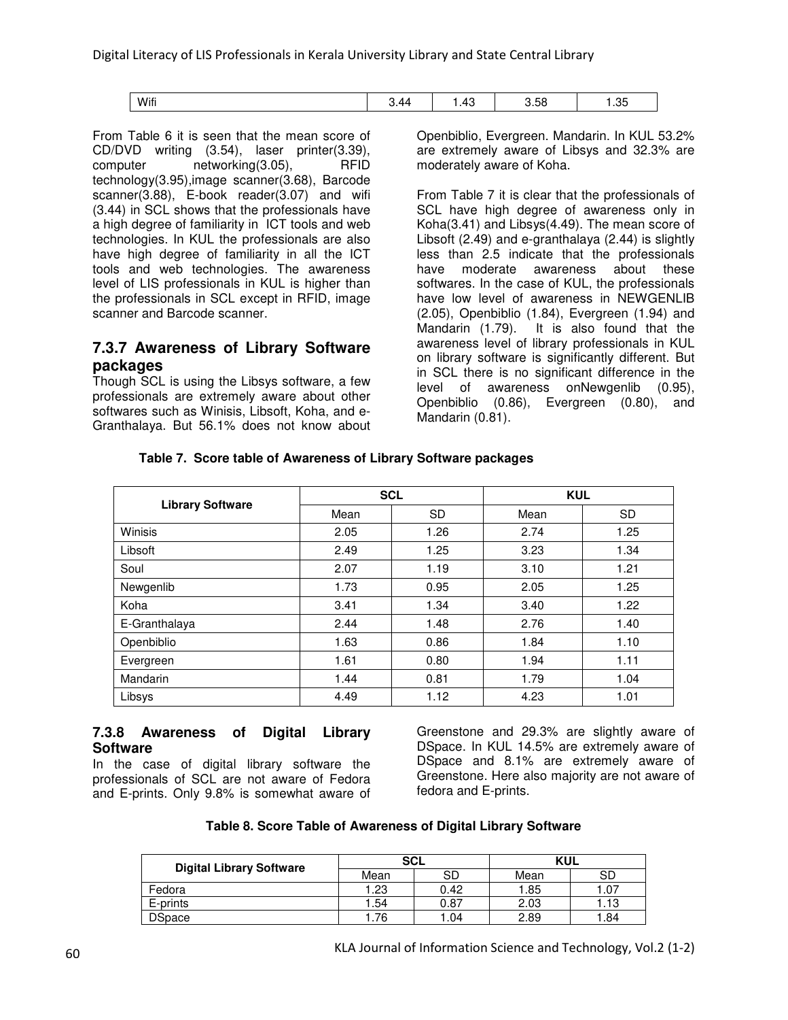| Wifi | 44<br>∪.⊤¬ | $\sqrt{2}$<br>⊤ט | r c<br>~<br>∪.∪∪ | つに<br>س<br>$\cdot$ |
|------|------------|------------------|------------------|--------------------|

From Table 6 it is seen that the mean score of CD/DVD writing (3.54), laser printer(3.39), computer networking(3.05), RFID technology(3.95),image scanner(3.68), Barcode scanner(3.88), E-book reader(3.07) and wifi (3.44) in SCL shows that the professionals have a high degree of familiarity in ICT tools and web technologies. In KUL the professionals are also have high degree of familiarity in all the ICT tools and web technologies. The awareness level of LIS professionals in KUL is higher than the professionals in SCL except in RFID, image scanner and Barcode scanner.

## **7.3.7 Awareness of Library Software packages**

Though SCL is using the Libsys software, a few professionals are extremely aware about other softwares such as Winisis, Libsoft, Koha, and e-Granthalaya. But 56.1% does not know about Openbiblio, Evergreen. Mandarin. In KUL 53.2% are extremely aware of Libsys and 32.3% are moderately aware of Koha.

From Table 7 it is clear that the professionals of SCL have high degree of awareness only in Koha(3.41) and Libsys(4.49). The mean score of Libsoft (2.49) and e-granthalaya (2.44) is slightly less than 2.5 indicate that the professionals have moderate awareness about these softwares. In the case of KUL, the professionals have low level of awareness in NEWGENLIB (2.05), Openbiblio (1.84), Evergreen (1.94) and It is also found that the awareness level of library professionals in KUL on library software is significantly different. But in SCL there is no significant difference in the level of awareness onNewgenlib (0.95), Openbiblio (0.86), Evergreen (0.80), and Mandarin (0.81).

#### **Table 7. Score table of Awareness of Library Software packages**

|                         |      | <b>SCL</b> | <b>KUL</b> |           |  |
|-------------------------|------|------------|------------|-----------|--|
| <b>Library Software</b> | Mean | <b>SD</b>  | Mean       | <b>SD</b> |  |
| Winisis                 | 2.05 | 1.26       | 2.74       | 1.25      |  |
| Libsoft                 | 2.49 | 1.25       | 3.23       | 1.34      |  |
| Soul                    | 2.07 | 1.19       | 3.10       | 1.21      |  |
| Newgenlib               | 1.73 | 0.95       | 2.05       | 1.25      |  |
| Koha                    | 3.41 | 1.34       | 3.40       | 1.22      |  |
| E-Granthalaya           | 2.44 | 1.48       | 2.76       | 1.40      |  |
| Openbiblio              | 1.63 | 0.86       | 1.84       | 1.10      |  |
| Evergreen               | 1.61 | 0.80       | 1.94       | 1.11      |  |
| Mandarin                | 1.44 | 0.81       | 1.79       | 1.04      |  |
| Libsys                  | 4.49 | 1.12       | 4.23       | 1.01      |  |

#### **7.3.8 Awareness of Digital Library Software**

In the case of digital library software the professionals of SCL are not aware of Fedora and E-prints. Only 9.8% is somewhat aware of

Greenstone and 29.3% are slightly aware of DSpace. In KUL 14.5% are extremely aware of DSpace and 8.1% are extremely aware of Greenstone. Here also majority are not aware of fedora and E-prints.

|                                 | <b>SCL</b> |      | KUL  |      |  |
|---------------------------------|------------|------|------|------|--|
| <b>Digital Library Software</b> | Mean       | SD   | Mean | SD   |  |
| Fedora                          | 1.23       | 0.42 | l.85 | .07  |  |
| E-prints                        | .54        | 0.87 | 2.03 | 1.13 |  |
| <b>DSpace</b>                   | .76        | .04  | 2.89 | .84  |  |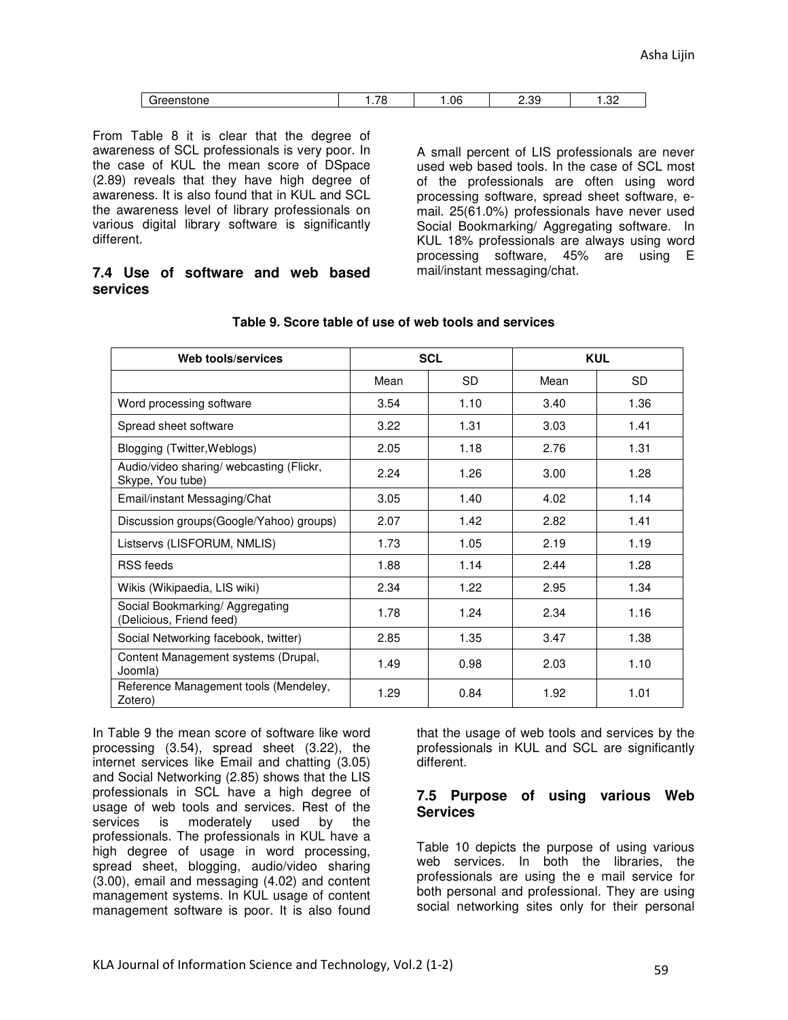| ------<br>$\sim$ | -- |     | oc                                  |                    |
|------------------|----|-----|-------------------------------------|--------------------|
| nstone           | .  | .06 | $\overline{\phantom{a}}$<br><u></u> | ے<br>$\sim$ $\sim$ |

From Table 8 it is clear that the degree of awareness of SCL professionals is very poor. In the case of KUL the mean score of DSpace (2.89) reveals that they have high degree of awareness. It is also found that in KUL and SCL the awareness level of library professionals on various digital library software is significantly different.

#### **7.4 Use of software and web based services**

A small percent of LIS professionals are never used web based tools. In the case of SCL most of the professionals are often using word processing software, spread sheet software, email. 25(61.0%) professionals have never used Social Bookmarking/ Aggregating software. In KUL 18% professionals are always using word processing software, 45% are using E mail/instant messaging/chat.

| Web tools/services                                           |      | <b>SCL</b>   | <b>KUL</b> |           |  |
|--------------------------------------------------------------|------|--------------|------------|-----------|--|
|                                                              | Mean | <b>SD</b>    | Mean       | <b>SD</b> |  |
| Word processing software                                     | 3.54 | 1.10         | 3.40       | 1.36      |  |
| Spread sheet software                                        | 3.22 | 1.31         | 3.03       | 1.41      |  |
| Blogging (Twitter, Weblogs)                                  | 2.05 | 1.18         | 2.76       | 1.31      |  |
| Audio/video sharing/ webcasting (Flickr,<br>Skype, You tube) | 2.24 | 1.26         | 3.00       | 1.28      |  |
| Email/instant Messaging/Chat                                 | 3.05 | 1.40         | 4.02       | 1.14      |  |
| Discussion groups (Google/Yahoo) groups)                     | 2.07 | 2.82<br>1.42 |            | 1.41      |  |
| Listservs (LISFORUM, NMLIS)                                  | 1.73 | 1.05         | 2.19       | 1.19      |  |
| <b>RSS</b> feeds                                             | 1.88 | 1.14         | 2.44       | 1.28      |  |
| Wikis (Wikipaedia, LIS wiki)                                 | 2.34 | 1.22         | 2.95       | 1.34      |  |
| Social Bookmarking/Aggregating<br>(Delicious, Friend feed)   | 1.78 | 1.24         | 2.34       | 1.16      |  |
| Social Networking facebook, twitter)                         | 2.85 | 1.35         | 3.47       | 1.38      |  |
| Content Management systems (Drupal,<br>Joomla)               | 1.49 | 0.98         | 2.03       | 1.10      |  |
| Reference Management tools (Mendeley,<br>Zotero)             | 1.29 | 0.84         | 1.92       | 1.01      |  |

#### **Table 9. Score table of use of web tools and services**

In Table 9 the mean score of software like word processing (3.54), spread sheet (3.22), the internet services like Email and chatting (3.05) and Social Networking (2.85) shows that the LIS professionals in SCL have a high degree of usage of web tools and services. Rest of the<br>services is moderately used by the used by the professionals. The professionals in KUL have a high degree of usage in word processing, spread sheet, blogging, audio/video sharing (3.00), email and messaging (4.02) and content management systems. In KUL usage of content management software is poor. It is also found

that the usage of web tools and services by the professionals in KUL and SCL are significantly different.

#### **7.5 Purpose of using various Web Services**

Table 10 depicts the purpose of using various web services. In both the libraries, the professionals are using the e mail service for both personal and professional. They are using social networking sites only for their personal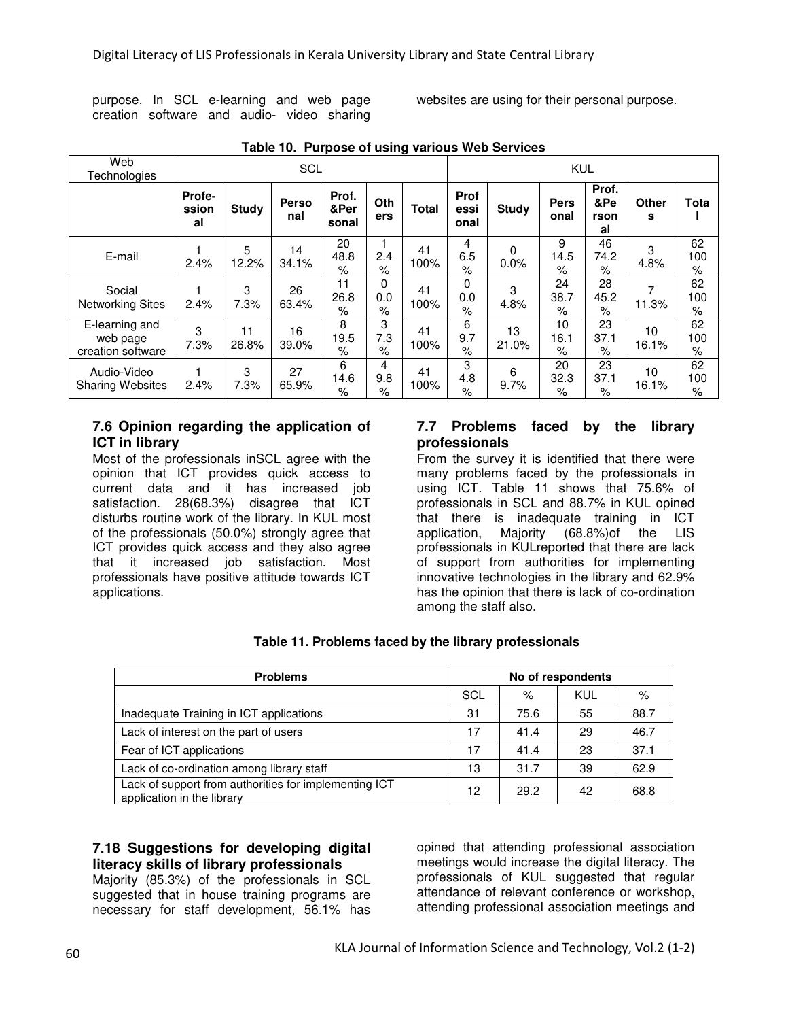purpose. In SCL e-learning and web page creation software and audio- video sharing websites are using for their personal purpose.

| Web<br>Technologies                             | <b>SCL</b>            |              |              |                        |                  | <b>KUL</b>   |                             |              |                     |                                  |             |                   |
|-------------------------------------------------|-----------------------|--------------|--------------|------------------------|------------------|--------------|-----------------------------|--------------|---------------------|----------------------------------|-------------|-------------------|
|                                                 | Profe-<br>ssion<br>al | <b>Study</b> | Perso<br>nal | Prof.<br>&Per<br>sonal | Oth<br>ers       | <b>Total</b> | <b>Prof</b><br>essi<br>onal | <b>Study</b> | <b>Pers</b><br>onal | Prof.<br>&Pe<br>rson<br>al       | Other<br>s  | Tota              |
| E-mail                                          | 2.4%                  | 5<br>12.2%   | 14<br>34.1%  | 20<br>48.8<br>$\%$     | 2.4<br>$\%$      | 41<br>100%   | 4<br>6.5<br>$\%$            | 0<br>0.0%    | 9<br>14.5<br>$\%$   | 46<br>74.2<br>%                  | 3<br>4.8%   | 62<br>100<br>$\%$ |
| Social<br><b>Networking Sites</b>               | 2.4%                  | 3<br>7.3%    | 26<br>63.4%  | 11<br>26.8<br>%        | 0<br>0.0<br>$\%$ | 41<br>100%   | 0<br>0.0<br>$\%$            | 3<br>4.8%    | 24<br>38.7<br>%     | 28<br>45.2<br>%                  | 7<br>11.3%  | 62<br>100<br>%    |
| E-learning and<br>web page<br>creation software | 3<br>7.3%             | 11<br>26.8%  | 16<br>39.0%  | 8<br>19.5<br>$\%$      | 3<br>7.3<br>$\%$ | 41<br>100%   | 6<br>9.7<br>$\%$            | 13<br>21.0%  | 10<br>16.1<br>$\%$  | 23<br>37.1<br>$\frac{1}{\alpha}$ | 10<br>16.1% | 62<br>100<br>%    |
| Audio-Video<br><b>Sharing Websites</b>          | 2.4%                  | 3<br>7.3%    | 27<br>65.9%  | 6<br>14.6<br>$\%$      | 4<br>9.8<br>$\%$ | 41<br>100%   | 3<br>4.8<br>$\%$            | 6<br>9.7%    | 20<br>32.3<br>$\%$  | 23<br>37.1<br>%                  | 10<br>16.1% | 62<br>100<br>%    |

#### **Table 10. Purpose of using various Web Services**

#### **7.6 Opinion regarding the application of ICT in library**

Most of the professionals inSCL agree with the opinion that ICT provides quick access to current data and it has increased job satisfaction. 28(68.3%) disagree that ICT disturbs routine work of the library. In KUL most of the professionals (50.0%) strongly agree that ICT provides quick access and they also agree that it increased job satisfaction. Most professionals have positive attitude towards ICT applications.

#### **7.7 Problems faced by the library professionals**

From the survey it is identified that there were many problems faced by the professionals in using ICT. Table 11 shows that 75.6% of professionals in SCL and 88.7% in KUL opined that there is inadequate training in ICT application, Majority (68.8%)of the LIS professionals in KULreported that there are lack of support from authorities for implementing innovative technologies in the library and 62.9% has the opinion that there is lack of co-ordination among the staff also.

| <b>Problems</b>                                                                     | No of respondents |      |     |      |  |  |
|-------------------------------------------------------------------------------------|-------------------|------|-----|------|--|--|
|                                                                                     | SCL               | $\%$ | KUL | %    |  |  |
| Inadequate Training in ICT applications                                             | 31                | 75.6 | 55  | 88.7 |  |  |
| Lack of interest on the part of users                                               | 17                | 41.4 | 29  | 46.7 |  |  |
| Fear of ICT applications                                                            | 17                | 41.4 | 23  | 37.1 |  |  |
| Lack of co-ordination among library staff                                           | 13                | 31.7 | 39  | 62.9 |  |  |
| Lack of support from authorities for implementing ICT<br>application in the library | 12                | 29.2 | 42  | 68.8 |  |  |

#### **Table 11. Problems faced by the library professionals**

## **7.18 Suggestions for developing digital literacy skills of library professionals**

Majority (85.3%) of the professionals in SCL suggested that in house training programs are necessary for staff development, 56.1% has

opined that attending professional association meetings would increase the digital literacy. The professionals of KUL suggested that regular attendance of relevant conference or workshop, attending professional association meetings and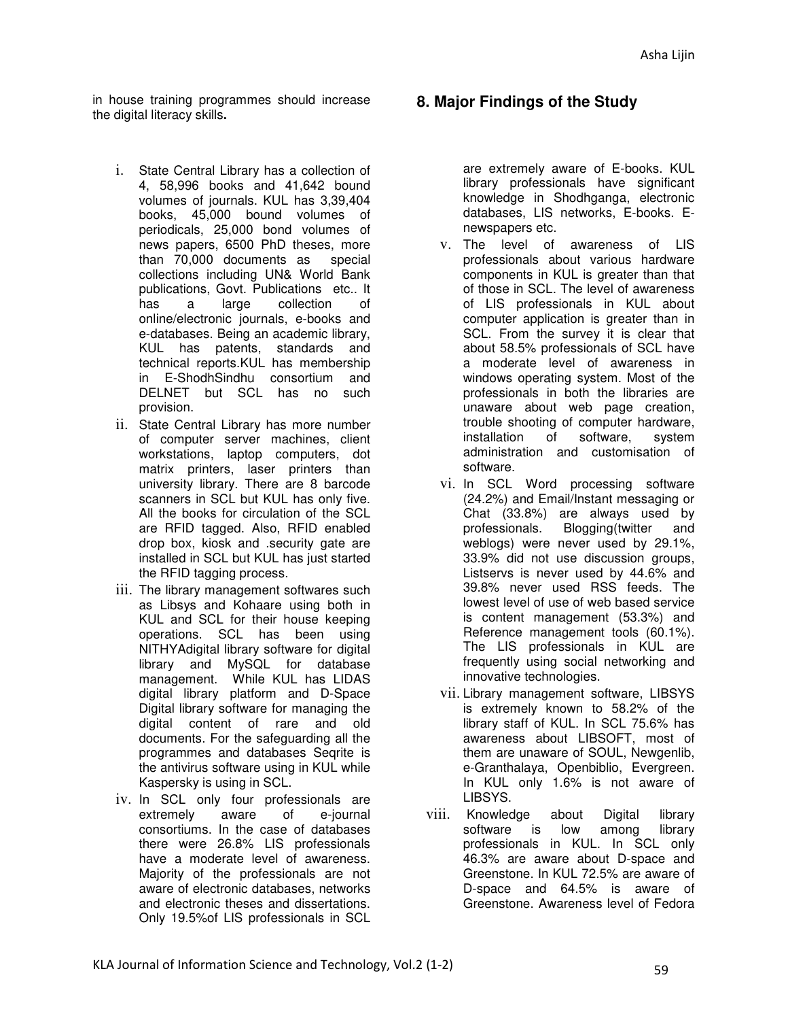in house training programmes should increase the digital literacy skills**.** 

- i. State Central Library has a collection of 4, 58,996 books and 41,642 bound volumes of journals. KUL has 3,39,404 books, 45,000 bound volumes of periodicals, 25,000 bond volumes of news papers, 6500 PhD theses, more than 70,000 documents as special collections including UN& World Bank publications, Govt. Publications etc.. It a large collection online/electronic journals, e-books and e-databases. Being an academic library, KUL has patents, standards and technical reports.KUL has membership in E-ShodhSindhu consortium and DELNET but SCL has no such provision.
- ii. State Central Library has more number of computer server machines, client workstations, laptop computers, dot matrix printers, laser printers than university library. There are 8 barcode scanners in SCL but KUL has only five. All the books for circulation of the SCL are RFID tagged. Also, RFID enabled drop box, kiosk and .security gate are installed in SCL but KUL has just started the RFID tagging process.
- iii. The library management softwares such as Libsys and Kohaare using both in KUL and SCL for their house keeping operations. SCL has been using NITHYAdigital library software for digital library and MySQL for database management. While KUL has LIDAS digital library platform and D-Space Digital library software for managing the digital content of rare and old documents. For the safeguarding all the programmes and databases Seqrite is the antivirus software using in KUL while Kaspersky is using in SCL.
- iv. In SCL only four professionals are extremely aware of e-journal consortiums. In the case of databases there were 26.8% LIS professionals have a moderate level of awareness. Majority of the professionals are not aware of electronic databases, networks and electronic theses and dissertations. Only 19.5%of LIS professionals in SCL

# **8. Major Findings of the Study**

are extremely aware of E-books. KUL library professionals have significant knowledge in Shodhganga, electronic databases, LIS networks, E-books. Enewspapers etc.

- v. The level of awareness of LIS professionals about various hardware components in KUL is greater than that of those in SCL. The level of awareness of LIS professionals in KUL about computer application is greater than in SCL. From the survey it is clear that about 58.5% professionals of SCL have a moderate level of awareness in windows operating system. Most of the professionals in both the libraries are unaware about web page creation, trouble shooting of computer hardware, installation of software, system administration and customisation of software.
- vi. In SCL Word processing software (24.2%) and Email/Instant messaging or Chat (33.8%) are always used by professionals. Blogging(twitter and weblogs) were never used by 29.1%, 33.9% did not use discussion groups, Listservs is never used by 44.6% and 39.8% never used RSS feeds. The lowest level of use of web based service is content management (53.3%) and Reference management tools (60.1%). The LIS professionals in KUL are frequently using social networking and innovative technologies.
- vii. Library management software, LIBSYS is extremely known to 58.2% of the library staff of KUL. In SCL 75.6% has awareness about LIBSOFT, most of them are unaware of SOUL, Newgenlib, e-Granthalaya, Openbiblio, Evergreen. In KUL only 1.6% is not aware of LIBSYS.
- viii. Knowledge about Digital library software is low among library professionals in KUL. In SCL only 46.3% are aware about D-space and Greenstone. In KUL 72.5% are aware of D-space and 64.5% is aware of Greenstone. Awareness level of Fedora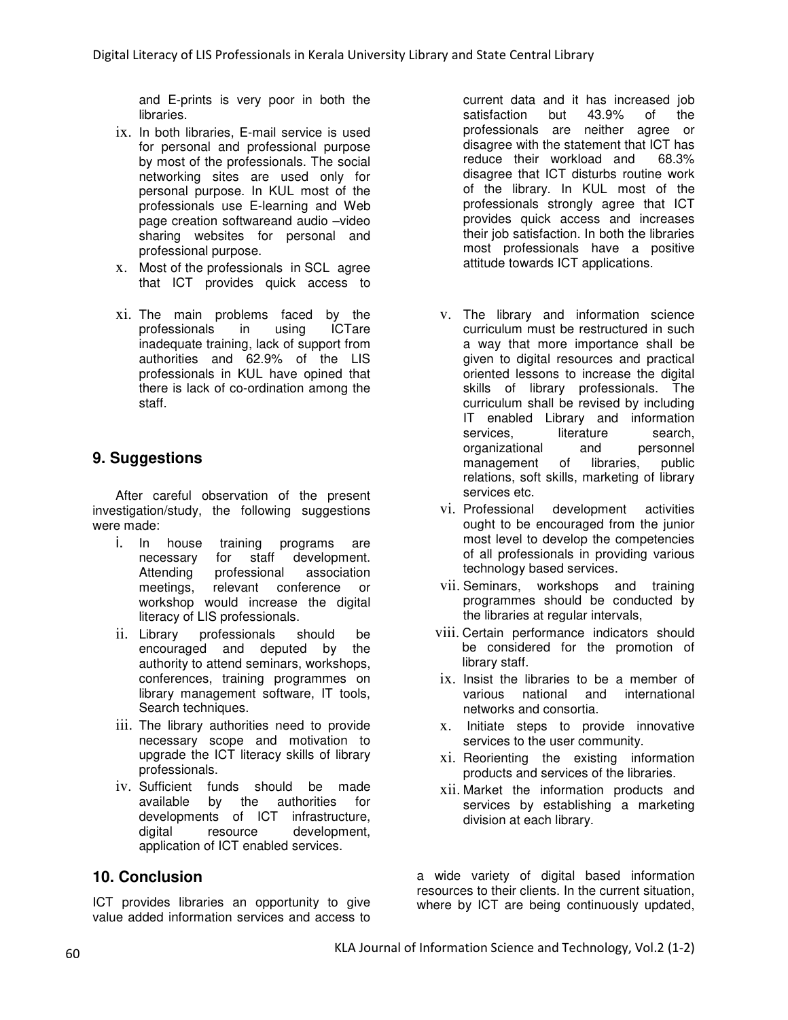and E-prints is very poor in both the libraries.

- ix. In both libraries, E-mail service is used for personal and professional purpose by most of the professionals. The social networking sites are used only for personal purpose. In KUL most of the professionals use E-learning and Web page creation softwareand audio –video sharing websites for personal and professional purpose.
- x. Most of the professionals in SCL agree that ICT provides quick access to
- xi. The main problems faced by the professionals in using ICTare inadequate training, lack of support from authorities and 62.9% of the LIS professionals in KUL have opined that there is lack of co-ordination among the staff.

# **9. Suggestions**

After careful observation of the present investigation/study, the following suggestions were made:

- i. In house training programs are necessary for Attending professional association meetings, relevant conference or workshop would increase the digital literacy of LIS professionals.
- ii. Library professionals should be encouraged and deputed by the authority to attend seminars, workshops, conferences, training programmes on library management software, IT tools, Search techniques.
- iii. The library authorities need to provide necessary scope and motivation to upgrade the ICT literacy skills of library professionals.
- iv. Sufficient funds should be made available by the authorities for developments of ICT infrastructure, digital resource development, application of ICT enabled services.

## **10. Conclusion**

ICT provides libraries an opportunity to give value added information services and access to current data and it has increased job satisfaction but 43.9% of the professionals are neither agree or disagree with the statement that ICT has reduce their workload and 68.3% disagree that ICT disturbs routine work of the library. In KUL most of the professionals strongly agree that ICT provides quick access and increases their job satisfaction. In both the libraries most professionals have a positive attitude towards ICT applications.

- v. The library and information science curriculum must be restructured in such a way that more importance shall be given to digital resources and practical oriented lessons to increase the digital skills of library professionals. The curriculum shall be revised by including IT enabled Library and information services, literature search, organizational and personnel management of libraries, public relations, soft skills, marketing of library services etc.
- vi. Professional development activities ought to be encouraged from the junior most level to develop the competencies of all professionals in providing various technology based services.
- vii. Seminars, workshops and training programmes should be conducted by the libraries at regular intervals,
- viii. Certain performance indicators should be considered for the promotion of library staff.
- ix. Insist the libraries to be a member of various national and international and international networks and consortia.
- x. Initiate steps to provide innovative services to the user community.
- xi. Reorienting the existing information products and services of the libraries.
- xii. Market the information products and services by establishing a marketing division at each library.

a wide variety of digital based information resources to their clients. In the current situation, where by ICT are being continuously updated,